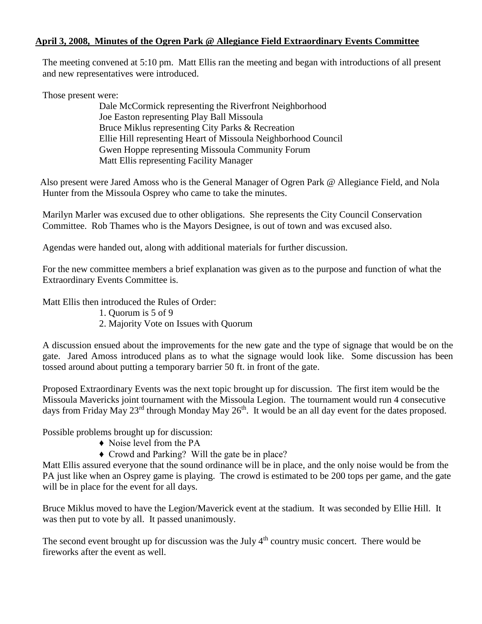## **April 3, 2008, Minutes of the Ogren Park @ Allegiance Field Extraordinary Events Committee**

The meeting convened at 5:10 pm. Matt Ellis ran the meeting and began with introductions of all present and new representatives were introduced.

Those present were:

Dale McCormick representing the Riverfront Neighborhood Joe Easton representing Play Ball Missoula Bruce Miklus representing City Parks & Recreation Ellie Hill representing Heart of Missoula Neighborhood Council Gwen Hoppe representing Missoula Community Forum Matt Ellis representing Facility Manager

 Also present were Jared Amoss who is the General Manager of Ogren Park @ Allegiance Field, and Nola Hunter from the Missoula Osprey who came to take the minutes.

Marilyn Marler was excused due to other obligations. She represents the City Council Conservation Committee. Rob Thames who is the Mayors Designee, is out of town and was excused also.

Agendas were handed out, along with additional materials for further discussion.

For the new committee members a brief explanation was given as to the purpose and function of what the Extraordinary Events Committee is.

Matt Ellis then introduced the Rules of Order:

- 1. Quorum is 5 of 9
- 2. Majority Vote on Issues with Quorum

A discussion ensued about the improvements for the new gate and the type of signage that would be on the gate. Jared Amoss introduced plans as to what the signage would look like. Some discussion has been tossed around about putting a temporary barrier 50 ft. in front of the gate.

Proposed Extraordinary Events was the next topic brought up for discussion. The first item would be the Missoula Mavericks joint tournament with the Missoula Legion. The tournament would run 4 consecutive days from Friday May 23<sup>rd</sup> through Monday May 26<sup>th</sup>. It would be an all day event for the dates proposed.

Possible problems brought up for discussion:

- ♦ Noise level from the PA
- ♦ Crowd and Parking? Will the gate be in place?

Matt Ellis assured everyone that the sound ordinance will be in place, and the only noise would be from the PA just like when an Osprey game is playing. The crowd is estimated to be 200 tops per game, and the gate will be in place for the event for all days.

Bruce Miklus moved to have the Legion/Maverick event at the stadium. It was seconded by Ellie Hill. It was then put to vote by all. It passed unanimously.

The second event brought up for discussion was the July  $4<sup>th</sup>$  country music concert. There would be fireworks after the event as well.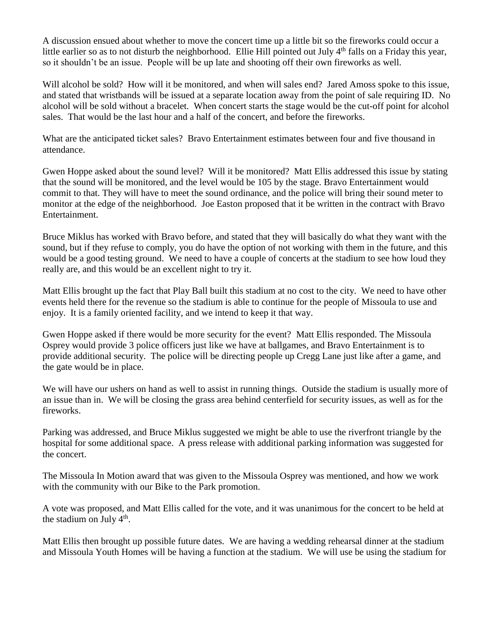A discussion ensued about whether to move the concert time up a little bit so the fireworks could occur a little earlier so as to not disturb the neighborhood. Ellie Hill pointed out July  $4<sup>th</sup>$  falls on a Friday this year, so it shouldn't be an issue. People will be up late and shooting off their own fireworks as well.

Will alcohol be sold? How will it be monitored, and when will sales end? Jared Amoss spoke to this issue, and stated that wristbands will be issued at a separate location away from the point of sale requiring ID. No alcohol will be sold without a bracelet. When concert starts the stage would be the cut-off point for alcohol sales. That would be the last hour and a half of the concert, and before the fireworks.

What are the anticipated ticket sales? Bravo Entertainment estimates between four and five thousand in attendance.

Gwen Hoppe asked about the sound level? Will it be monitored? Matt Ellis addressed this issue by stating that the sound will be monitored, and the level would be 105 by the stage. Bravo Entertainment would commit to that. They will have to meet the sound ordinance, and the police will bring their sound meter to monitor at the edge of the neighborhood. Joe Easton proposed that it be written in the contract with Bravo Entertainment.

Bruce Miklus has worked with Bravo before, and stated that they will basically do what they want with the sound, but if they refuse to comply, you do have the option of not working with them in the future, and this would be a good testing ground. We need to have a couple of concerts at the stadium to see how loud they really are, and this would be an excellent night to try it.

Matt Ellis brought up the fact that Play Ball built this stadium at no cost to the city. We need to have other events held there for the revenue so the stadium is able to continue for the people of Missoula to use and enjoy. It is a family oriented facility, and we intend to keep it that way.

Gwen Hoppe asked if there would be more security for the event? Matt Ellis responded. The Missoula Osprey would provide 3 police officers just like we have at ballgames, and Bravo Entertainment is to provide additional security. The police will be directing people up Cregg Lane just like after a game, and the gate would be in place.

We will have our ushers on hand as well to assist in running things. Outside the stadium is usually more of an issue than in. We will be closing the grass area behind centerfield for security issues, as well as for the fireworks.

Parking was addressed, and Bruce Miklus suggested we might be able to use the riverfront triangle by the hospital for some additional space. A press release with additional parking information was suggested for the concert.

The Missoula In Motion award that was given to the Missoula Osprey was mentioned, and how we work with the community with our Bike to the Park promotion.

A vote was proposed, and Matt Ellis called for the vote, and it was unanimous for the concert to be held at the stadium on July  $4<sup>th</sup>$ .

Matt Ellis then brought up possible future dates. We are having a wedding rehearsal dinner at the stadium and Missoula Youth Homes will be having a function at the stadium. We will use be using the stadium for